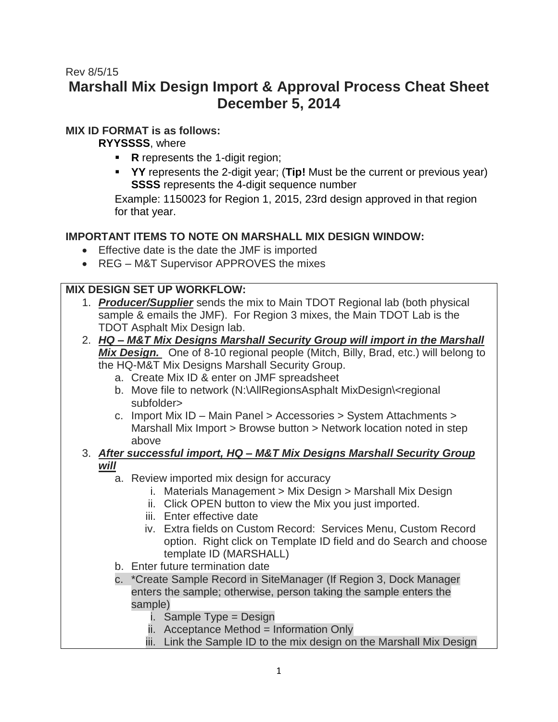# Rev 8/5/15 **Marshall Mix Design Import & Approval Process Cheat Sheet December 5, 2014**

# **MIX ID FORMAT is as follows:**

**RYYSSSS**, where

- **R** represents the 1-digit region;
- **YY** represents the 2-digit year; (**Tip!** Must be the current or previous year) **SSSS** represents the 4-digit sequence number

Example: 1150023 for Region 1, 2015, 23rd design approved in that region for that year.

# **IMPORTANT ITEMS TO NOTE ON MARSHALL MIX DESIGN WINDOW:**

- Effective date is the date the JMF is imported
- REG M&T Supervisor APPROVES the mixes

# **MIX DESIGN SET UP WORKFLOW:**

- 1. *Producer/Supplier* sends the mix to Main TDOT Regional lab (both physical sample & emails the JMF). For Region 3 mixes, the Main TDOT Lab is the TDOT Asphalt Mix Design lab.
- 2. *HQ – M&T Mix Designs Marshall Security Group will import in the Marshall Mix Design.* One of 8-10 regional people (Mitch, Billy, Brad, etc.) will belong to the HQ-M&T Mix Designs Marshall Security Group.
	- a. Create Mix ID & enter on JMF spreadsheet
	- b. Move file to network (N:\AllRegionsAsphalt MixDesign\<regional subfolder>
	- c. Import Mix ID Main Panel > Accessories > System Attachments > Marshall Mix Import > Browse button > Network location noted in step above

#### 3. *After successful import, HQ – M&T Mix Designs Marshall Security Group will*

- a. Review imported mix design for accuracy
	- i. Materials Management > Mix Design > Marshall Mix Design
	- ii. Click OPEN button to view the Mix you just imported.
	- iii. Enter effective date
	- iv. Extra fields on Custom Record: Services Menu, Custom Record option. Right click on Template ID field and do Search and choose template ID (MARSHALL)
- b. Enter future termination date
- c. \*Create Sample Record in SiteManager (If Region 3, Dock Manager enters the sample; otherwise, person taking the sample enters the sample)
	- i. Sample Type = Design
	- ii. Acceptance Method = Information Only
	- iii. Link the Sample ID to the mix design on the Marshall Mix Design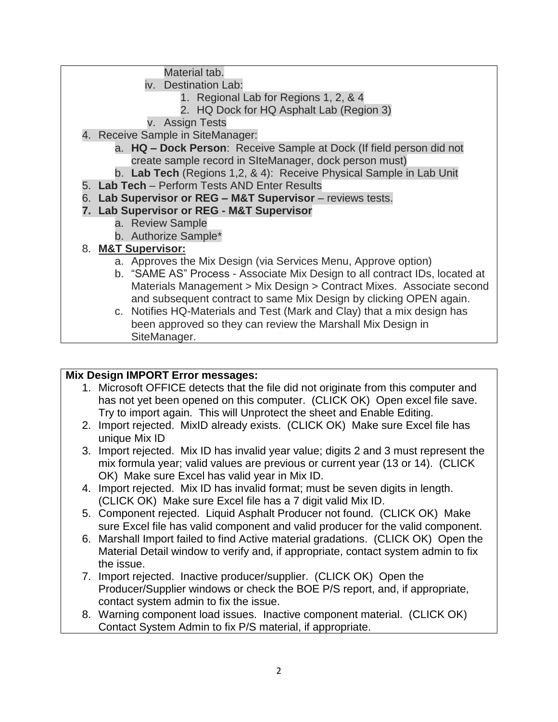Material tab.

- iv. Destination Lab:
	- 1. Regional Lab for Regions 1, 2, & 4
	- 2. HQ Dock for HQ Asphalt Lab (Region 3)
- v. Assign Tests
- 4. Receive Sample in SiteManager:
	- a. **HQ – Dock Person**: Receive Sample at Dock (If field person did not create sample record in SIteManager, dock person must)
	- b. **Lab Tech** (Regions 1,2, & 4): Receive Physical Sample in Lab Unit
- 5. **Lab Tech** Perform Tests AND Enter Results
- 6. **Lab Supervisor or REG – M&T Supervisor** reviews tests.

## **7. Lab Supervisor or REG - M&T Supervisor**

- a. Review Sample
- b. Authorize Sample\*

## 8. **M&T Supervisor:**

- a. Approves the Mix Design (via Services Menu, Approve option)
- b. "SAME AS" Process Associate Mix Design to all contract IDs, located at Materials Management > Mix Design > Contract Mixes. Associate second and subsequent contract to same Mix Design by clicking OPEN again.
- c. Notifies HQ-Materials and Test (Mark and Clay) that a mix design has been approved so they can review the Marshall Mix Design in SiteManager.

## **Mix Design IMPORT Error messages:**

- 1. Microsoft OFFICE detects that the file did not originate from this computer and has not yet been opened on this computer. (CLICK OK) Open excel file save. Try to import again. This will Unprotect the sheet and Enable Editing.
- 2. Import rejected. MixID already exists. (CLICK OK) Make sure Excel file has unique Mix ID
- 3. Import rejected. Mix ID has invalid year value; digits 2 and 3 must represent the mix formula year; valid values are previous or current year (13 or 14). (CLICK OK) Make sure Excel has valid year in Mix ID.
- 4. Import rejected. Mix ID has invalid format; must be seven digits in length. (CLICK OK) Make sure Excel file has a 7 digit valid Mix ID.
- 5. Component rejected. Liquid Asphalt Producer not found. (CLICK OK) Make sure Excel file has valid component and valid producer for the valid component.
- 6. Marshall Import failed to find Active material gradations. (CLICK OK) Open the Material Detail window to verify and, if appropriate, contact system admin to fix the issue.
- 7. Import rejected. Inactive producer/supplier. (CLICK OK) Open the Producer/Supplier windows or check the BOE P/S report, and, if appropriate, contact system admin to fix the issue.
- 8. Warning component load issues. Inactive component material. (CLICK OK) Contact System Admin to fix P/S material, if appropriate.